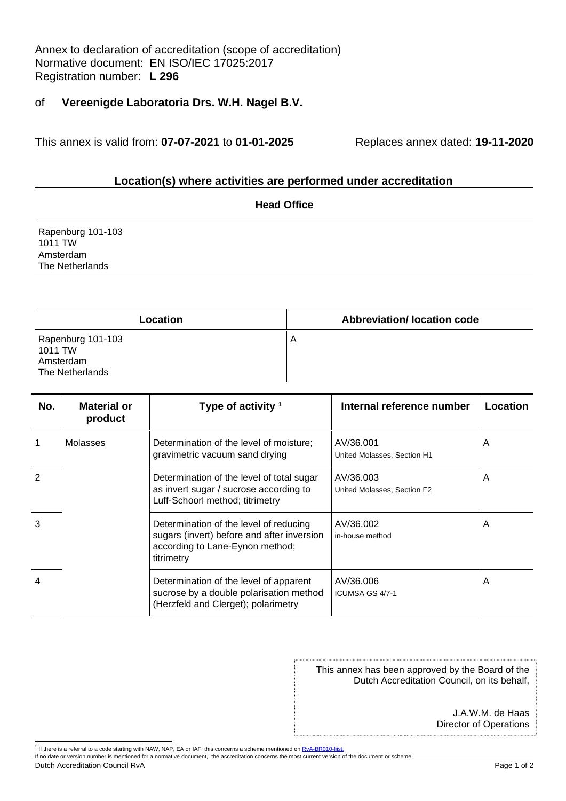Annex to declaration of accreditation (scope of accreditation) Normative document: EN ISO/IEC 17025:2017 Registration number: **L 296**

## of **Vereenigde Laboratoria Drs. W.H. Nagel B.V.**

This annex is valid from: **07-07-2021** to **01-01-2025** Replaces annex dated: **19-11-2020**

## **Location(s) where activities are performed under accreditation**

| <b>Head Office</b>                                           |  |  |  |
|--------------------------------------------------------------|--|--|--|
| Rapenburg 101-103<br>1011 TW<br>Amsterdam<br>The Netherlands |  |  |  |
|                                                              |  |  |  |

| Location                                                     | <b>Abbreviation/Iocation code</b> |
|--------------------------------------------------------------|-----------------------------------|
| Rapenburg 101-103<br>1011 TW<br>Amsterdam<br>The Netherlands | . A                               |

| No.           | <b>Material or</b><br>product | Type of activity $1$                                                                                                                  | Internal reference number                | <b>Location</b> |
|---------------|-------------------------------|---------------------------------------------------------------------------------------------------------------------------------------|------------------------------------------|-----------------|
|               | Molasses                      | Determination of the level of moisture;<br>gravimetric vacuum sand drying                                                             | AV/36.001<br>United Molasses, Section H1 | A               |
| $\mathcal{P}$ |                               | Determination of the level of total sugar<br>as invert sugar / sucrose according to<br>Luff-Schoorl method; titrimetry                | AV/36.003<br>United Molasses, Section F2 | A               |
| 3             |                               | Determination of the level of reducing<br>sugars (invert) before and after inversion<br>according to Lane-Eynon method;<br>titrimetry | AV/36.002<br>in-house method             | A               |
| 4             |                               | Determination of the level of apparent<br>sucrose by a double polarisation method<br>(Herzfeld and Clerget); polarimetry              | AV/36.006<br>ICUMSA GS 4/7-1             | A               |

This annex has been approved by the Board of the Dutch Accreditation Council, on its behalf,

> J.A.W.M. de Haas Director of Operations

Dutch Accreditation Council RvA Page 1 of 2

<sup>&</sup>lt;sup>1</sup> If there is a referral to a code starting with NAW, NAP, EA or IAF, this concerns a scheme mentioned o[n RvA-BR010-lijst.](https://www.rva.nl/en/document/download/BR010-lijst)

If no date or version number is mentioned for a normative document, the accreditation concerns the most current version of the document or scheme.